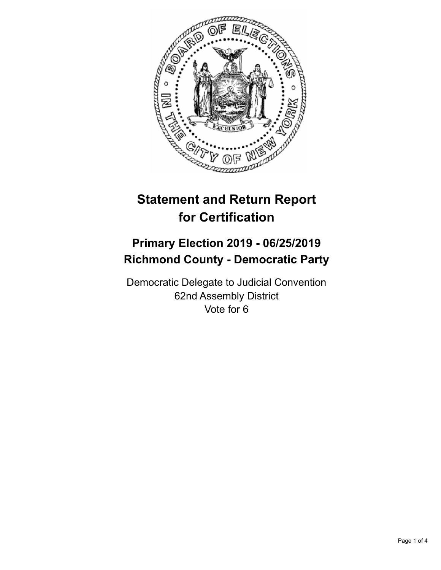

# **Statement and Return Report for Certification**

## **Primary Election 2019 - 06/25/2019 Richmond County - Democratic Party**

Democratic Delegate to Judicial Convention 62nd Assembly District Vote for 6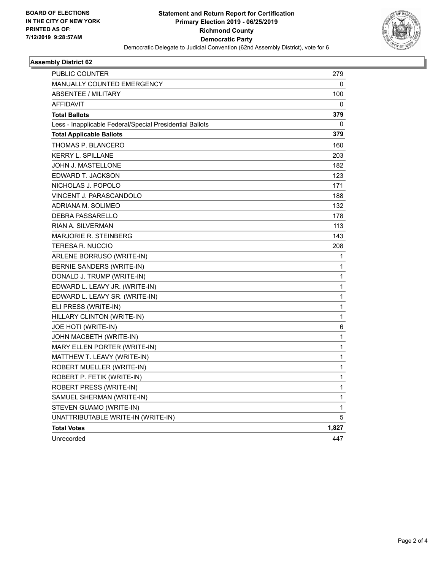

#### **Assembly District 62**

| PUBLIC COUNTER                                           | 279   |
|----------------------------------------------------------|-------|
| <b>MANUALLY COUNTED EMERGENCY</b>                        | 0     |
| <b>ABSENTEE / MILITARY</b>                               | 100   |
| <b>AFFIDAVIT</b>                                         | 0     |
| <b>Total Ballots</b>                                     | 379   |
| Less - Inapplicable Federal/Special Presidential Ballots | 0     |
| <b>Total Applicable Ballots</b>                          | 379   |
| THOMAS P. BLANCERO                                       | 160   |
| <b>KERRY L. SPILLANE</b>                                 | 203   |
| JOHN J. MASTELLONE                                       | 182   |
| EDWARD T. JACKSON                                        | 123   |
| NICHOLAS J. POPOLO                                       | 171   |
| VINCENT J. PARASCANDOLO                                  | 188   |
| ADRIANA M. SOLIMEO                                       | 132   |
| <b>DEBRA PASSARELLO</b>                                  | 178   |
| RIAN A. SILVERMAN                                        | 113   |
| <b>MARJORIE R. STEINBERG</b>                             | 143   |
| <b>TERESA R. NUCCIO</b>                                  | 208   |
| ARLENE BORRUSO (WRITE-IN)                                | 1     |
| BERNIE SANDERS (WRITE-IN)                                | 1     |
| DONALD J. TRUMP (WRITE-IN)                               | 1     |
| EDWARD L. LEAVY JR. (WRITE-IN)                           | 1     |
| EDWARD L. LEAVY SR. (WRITE-IN)                           | 1     |
| ELI PRESS (WRITE-IN)                                     | 1     |
| HILLARY CLINTON (WRITE-IN)                               | 1     |
| JOE HOTI (WRITE-IN)                                      | 6     |
| JOHN MACBETH (WRITE-IN)                                  | 1     |
| MARY ELLEN PORTER (WRITE-IN)                             | 1     |
| MATTHEW T. LEAVY (WRITE-IN)                              | 1     |
| ROBERT MUELLER (WRITE-IN)                                | 1     |
| ROBERT P. FETIK (WRITE-IN)                               | 1     |
| ROBERT PRESS (WRITE-IN)                                  | 1     |
| SAMUEL SHERMAN (WRITE-IN)                                | 1     |
| STEVEN GUAMO (WRITE-IN)                                  | 1     |
| UNATTRIBUTABLE WRITE-IN (WRITE-IN)                       | 5     |
| <b>Total Votes</b>                                       | 1,827 |
| Unrecorded                                               | 447   |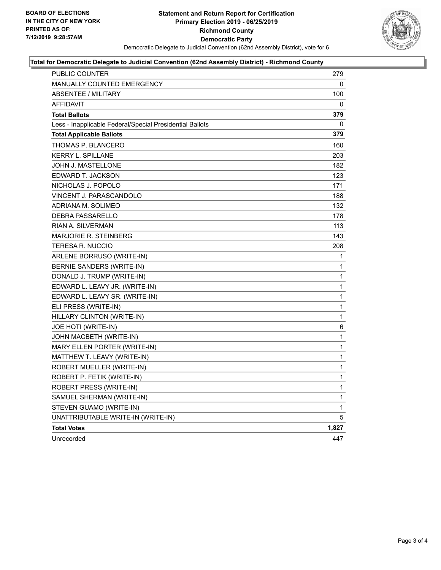

#### **Total for Democratic Delegate to Judicial Convention (62nd Assembly District) - Richmond County**

| <b>PUBLIC COUNTER</b>                                    | 279          |
|----------------------------------------------------------|--------------|
| <b>MANUALLY COUNTED EMERGENCY</b>                        | 0            |
| <b>ABSENTEE / MILITARY</b>                               | 100          |
| <b>AFFIDAVIT</b>                                         | 0            |
| <b>Total Ballots</b>                                     | 379          |
| Less - Inapplicable Federal/Special Presidential Ballots | 0            |
| <b>Total Applicable Ballots</b>                          | 379          |
| THOMAS P. BLANCERO                                       | 160          |
| <b>KERRY L. SPILLANE</b>                                 | 203          |
| JOHN J. MASTELLONE                                       | 182          |
| EDWARD T. JACKSON                                        | 123          |
| NICHOLAS J. POPOLO                                       | 171          |
| VINCENT J. PARASCANDOLO                                  | 188          |
| ADRIANA M. SOLIMEO                                       | 132          |
| DEBRA PASSARELLO                                         | 178          |
| RIAN A. SILVERMAN                                        | 113          |
| <b>MARJORIE R. STEINBERG</b>                             | 143          |
| <b>TERESA R. NUCCIO</b>                                  | 208          |
| ARLENE BORRUSO (WRITE-IN)                                | $\mathbf 1$  |
| BERNIE SANDERS (WRITE-IN)                                | $\mathbf{1}$ |
| DONALD J. TRUMP (WRITE-IN)                               | $\mathbf{1}$ |
| EDWARD L. LEAVY JR. (WRITE-IN)                           | $\mathbf{1}$ |
| EDWARD L. LEAVY SR. (WRITE-IN)                           | $\mathbf{1}$ |
| ELI PRESS (WRITE-IN)                                     | $\mathbf{1}$ |
| HILLARY CLINTON (WRITE-IN)                               | $\mathbf{1}$ |
| JOE HOTI (WRITE-IN)                                      | 6            |
| JOHN MACBETH (WRITE-IN)                                  | $\mathbf{1}$ |
| MARY ELLEN PORTER (WRITE-IN)                             | $\mathbf{1}$ |
| MATTHEW T. LEAVY (WRITE-IN)                              | $\mathbf{1}$ |
| ROBERT MUELLER (WRITE-IN)                                | $\mathbf{1}$ |
| ROBERT P. FETIK (WRITE-IN)                               | $\mathbf 1$  |
| ROBERT PRESS (WRITE-IN)                                  | $\mathbf{1}$ |
| SAMUEL SHERMAN (WRITE-IN)                                | $\mathbf{1}$ |
| STEVEN GUAMO (WRITE-IN)                                  | $\mathbf 1$  |
| UNATTRIBUTABLE WRITE-IN (WRITE-IN)                       | 5            |
| <b>Total Votes</b>                                       | 1,827        |
| Unrecorded                                               | 447          |